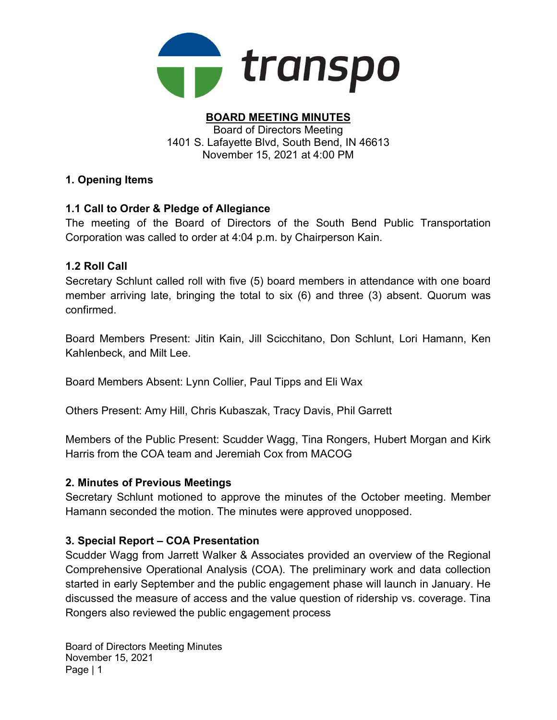

#### BOARD MEETING MINUTES Board of Directors Meeting 1401 S. Lafayette Blvd, South Bend, IN 46613

November 15, 2021 at 4:00 PM

# 1. Opening Items

# 1.1 Call to Order & Pledge of Allegiance

The meeting of the Board of Directors of the South Bend Public Transportation Corporation was called to order at 4:04 p.m. by Chairperson Kain.

# 1.2 Roll Call

Secretary Schlunt called roll with five (5) board members in attendance with one board member arriving late, bringing the total to six (6) and three (3) absent. Quorum was confirmed.

Board Members Present: Jitin Kain, Jill Scicchitano, Don Schlunt, Lori Hamann, Ken Kahlenbeck, and Milt Lee.

Board Members Absent: Lynn Collier, Paul Tipps and Eli Wax

Others Present: Amy Hill, Chris Kubaszak, Tracy Davis, Phil Garrett

Members of the Public Present: Scudder Wagg, Tina Rongers, Hubert Morgan and Kirk Harris from the COA team and Jeremiah Cox from MACOG

# 2. Minutes of Previous Meetings

Secretary Schlunt motioned to approve the minutes of the October meeting. Member Hamann seconded the motion. The minutes were approved unopposed.

# 3. Special Report – COA Presentation

Scudder Wagg from Jarrett Walker & Associates provided an overview of the Regional Comprehensive Operational Analysis (COA). The preliminary work and data collection started in early September and the public engagement phase will launch in January. He discussed the measure of access and the value question of ridership vs. coverage. Tina Rongers also reviewed the public engagement process

Board of Directors Meeting Minutes November 15, 2021 Page | 1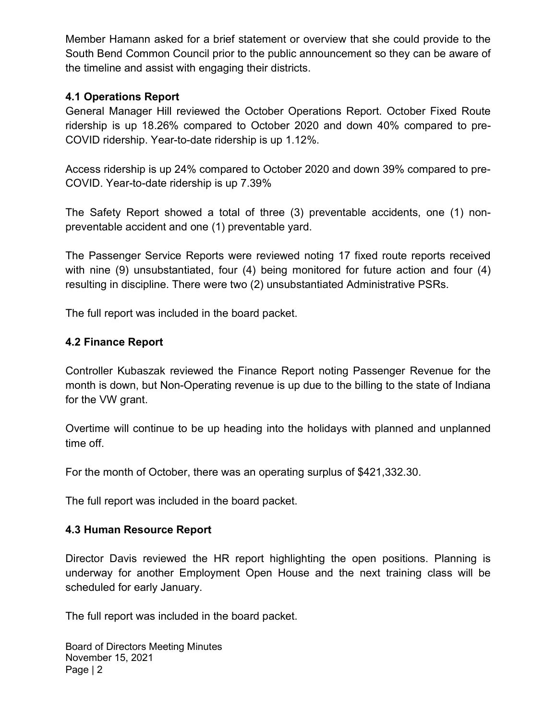Member Hamann asked for a brief statement or overview that she could provide to the South Bend Common Council prior to the public announcement so they can be aware of the timeline and assist with engaging their districts.

# 4.1 Operations Report

General Manager Hill reviewed the October Operations Report. October Fixed Route ridership is up 18.26% compared to October 2020 and down 40% compared to pre-COVID ridership. Year-to-date ridership is up 1.12%.

Access ridership is up 24% compared to October 2020 and down 39% compared to pre-COVID. Year-to-date ridership is up 7.39%

The Safety Report showed a total of three (3) preventable accidents, one (1) nonpreventable accident and one (1) preventable yard.

The Passenger Service Reports were reviewed noting 17 fixed route reports received with nine (9) unsubstantiated, four (4) being monitored for future action and four (4) resulting in discipline. There were two (2) unsubstantiated Administrative PSRs.

The full report was included in the board packet.

#### 4.2 Finance Report

Controller Kubaszak reviewed the Finance Report noting Passenger Revenue for the month is down, but Non-Operating revenue is up due to the billing to the state of Indiana for the VW grant.

Overtime will continue to be up heading into the holidays with planned and unplanned time off.

For the month of October, there was an operating surplus of \$421,332.30.

The full report was included in the board packet.

# 4.3 Human Resource Report

Director Davis reviewed the HR report highlighting the open positions. Planning is underway for another Employment Open House and the next training class will be scheduled for early January.

The full report was included in the board packet.

Board of Directors Meeting Minutes November 15, 2021 Page | 2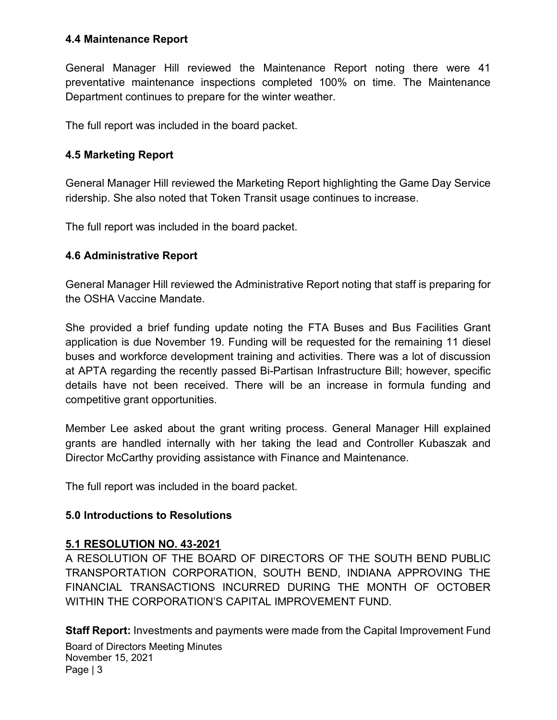### 4.4 Maintenance Report

General Manager Hill reviewed the Maintenance Report noting there were 41 preventative maintenance inspections completed 100% on time. The Maintenance Department continues to prepare for the winter weather.

The full report was included in the board packet.

# 4.5 Marketing Report

General Manager Hill reviewed the Marketing Report highlighting the Game Day Service ridership. She also noted that Token Transit usage continues to increase.

The full report was included in the board packet.

# 4.6 Administrative Report

General Manager Hill reviewed the Administrative Report noting that staff is preparing for the OSHA Vaccine Mandate.

She provided a brief funding update noting the FTA Buses and Bus Facilities Grant application is due November 19. Funding will be requested for the remaining 11 diesel buses and workforce development training and activities. There was a lot of discussion at APTA regarding the recently passed Bi-Partisan Infrastructure Bill; however, specific details have not been received. There will be an increase in formula funding and competitive grant opportunities.

Member Lee asked about the grant writing process. General Manager Hill explained grants are handled internally with her taking the lead and Controller Kubaszak and Director McCarthy providing assistance with Finance and Maintenance.

The full report was included in the board packet.

# 5.0 Introductions to Resolutions

# 5.1 RESOLUTION NO. 43-2021

A RESOLUTION OF THE BOARD OF DIRECTORS OF THE SOUTH BEND PUBLIC TRANSPORTATION CORPORATION, SOUTH BEND, INDIANA APPROVING THE FINANCIAL TRANSACTIONS INCURRED DURING THE MONTH OF OCTOBER WITHIN THE CORPORATION'S CAPITAL IMPROVEMENT FUND.

Board of Directors Meeting Minutes November 15, 2021 Page | 3 Staff Report: Investments and payments were made from the Capital Improvement Fund